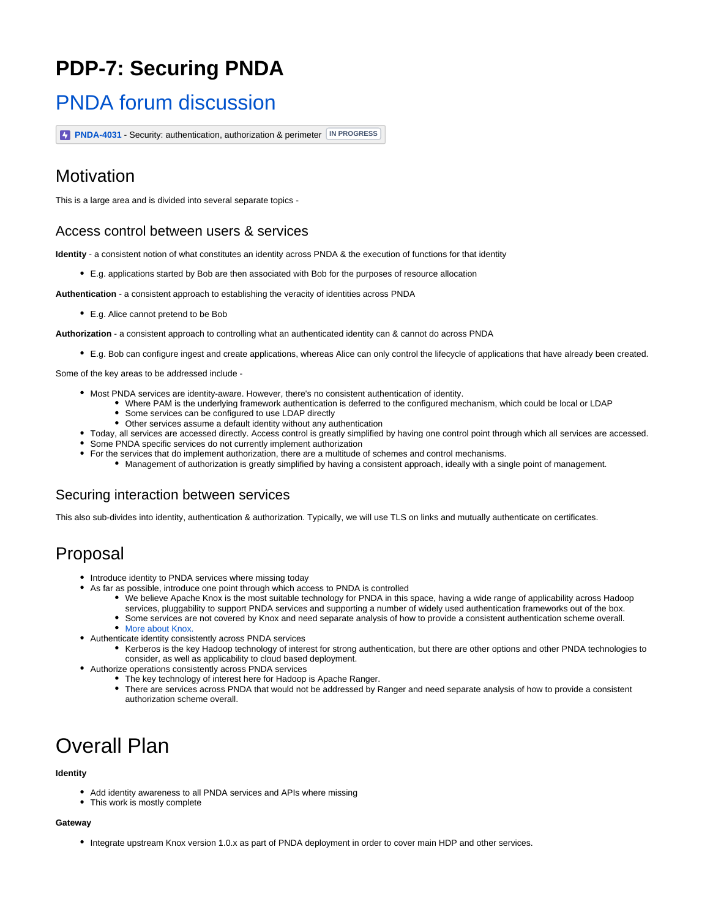# **PDP-7: Securing PNDA**

## [PNDA forum discussion](https://groups.google.com/forum/?utm_medium=email&utm_source=footer#!topic/pnda-developers/wpJdQ24A_jI)

**[PNDA-4031](https://jira.pnda.io/browse/PNDA-4031)** - Security: authentication, authorization & perimeter **IN PROGRESS**

## Motivation

This is a large area and is divided into several separate topics -

### Access control between users & services

**Identity** - a consistent notion of what constitutes an identity across PNDA & the execution of functions for that identity

E.g. applications started by Bob are then associated with Bob for the purposes of resource allocation

**Authentication** - a consistent approach to establishing the veracity of identities across PNDA

E.g. Alice cannot pretend to be Bob

**Authorization** - a consistent approach to controlling what an authenticated identity can & cannot do across PNDA

E.g. Bob can configure ingest and create applications, whereas Alice can only control the lifecycle of applications that have already been created.

Some of the key areas to be addressed include -

- Most PNDA services are identity-aware. However, there's no consistent authentication of identity.
	- Where PAM is the underlying framework authentication is deferred to the configured mechanism, which could be local or LDAP
	- Some services can be configured to use LDAP directly
	- Other services assume a default identity without any authentication
- Today, all services are accessed directly. Access control is greatly simplified by having one control point through which all services are accessed.
- Some PNDA specific services do not currently implement authorization
- For the services that do implement authorization, there are a multitude of schemes and control mechanisms.
	- Management of authorization is greatly simplified by having a consistent approach, ideally with a single point of management.

### Securing interaction between services

This also sub-divides into identity, authentication & authorization. Typically, we will use TLS on links and mutually authenticate on certificates.

## Proposal

- Introduce identity to PNDA services where missing today
- As far as possible, introduce one point through which access to PNDA is controlled
	- We believe Apache Knox is the most suitable technology for PNDA in this space, having a wide range of applicability across Hadoop services, pluggability to support PNDA services and supporting a number of widely used authentication frameworks out of the box.
		- Some services are not covered by Knox and need separate analysis of how to provide a consistent authentication scheme overall.
	- [More about Knox.](https://cwiki.pnda.io/display/PNDA/Apache+Knox)
- Authenticate identity consistently across PNDA services
	- Kerberos is the key Hadoop technology of interest for strong authentication, but there are other options and other PNDA technologies to consider, as well as applicability to cloud based deployment.
- Authorize operations consistently across PNDA services
	- The key technology of interest here for Hadoop is Apache Ranger.
		- There are services across PNDA that would not be addressed by Ranger and need separate analysis of how to provide a consistent authorization scheme overall.

# Overall Plan

#### **Identity**

- Add identity awareness to all PNDA services and APIs where missing
- This work is mostly complete

#### **Gateway**

Integrate upstream Knox version 1.0.x as part of PNDA deployment in order to cover main HDP and other services.